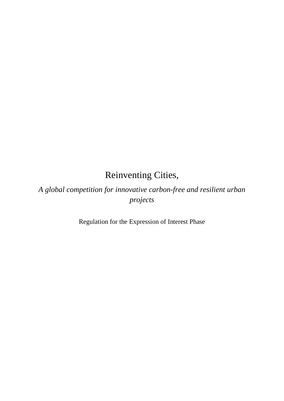# Reinventing Cities,

## *A global competition for innovative carbon-free and resilient urban projects*

Regulation for the Expression of Interest Phase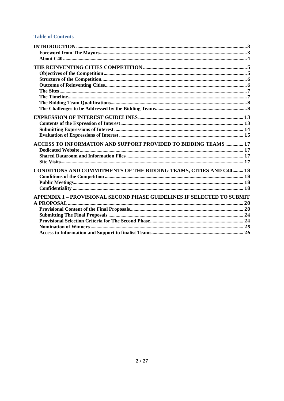#### **Table of Contents**

| <b>ACCESS TO INFORMATION AND SUPPORT PROVIDED TO BIDDING TEAMS  17</b>        |  |
|-------------------------------------------------------------------------------|--|
|                                                                               |  |
|                                                                               |  |
|                                                                               |  |
|                                                                               |  |
| <b>CONDITIONS AND COMMITMENTS OF THE BIDDING TEAMS, CITIES AND C40 18</b>     |  |
|                                                                               |  |
|                                                                               |  |
|                                                                               |  |
| <b>APPENDIX 1 - PROVISIONAL SECOND PHASE GUIDELINES IF SELECTED TO SUBMIT</b> |  |
|                                                                               |  |
|                                                                               |  |
|                                                                               |  |
|                                                                               |  |
|                                                                               |  |
|                                                                               |  |
|                                                                               |  |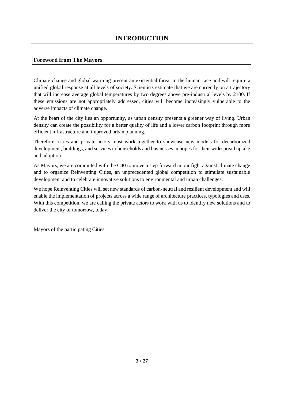## **INTRODUCTION**

#### <span id="page-2-1"></span><span id="page-2-0"></span>**Foreword from The Mayors**

Climate change and global warming present an existential threat to the human race and will require a unified global response at all levels of society. Scientists estimate that we are currently on a trajectory that will increase average global temperatures by two degrees above pre-industrial levels by 2100. If these emissions are not appropriately addressed, cities will become increasingly vulnerable to the adverse impacts of climate change.

At the heart of the city lies an opportunity, as urban density presents a greener way of living. Urban density can create the possibility for a better quality of life and a lower carbon footprint through more efficient infrastructure and improved urban planning.

Therefore, cities and private actors must work together to showcase new models for decarbonized development, buildings, and services to households and businesses in hopes for their widespread uptake and adoption.

As Mayors, we are committed with the C40 to move a step forward in our fight against climate change and to organize Reinventing Cities, an unprecedented global competition to stimulate sustainable development and to celebrate innovative solutions to environmental and urban challenges.

We hope Reinventing Cities will set new standards of carbon-neutral and resilient development and will enable the implementation of projects across a wide range of architecture practices, typologies and uses. With this competition, we are calling the private actors to work with us to identify new solutions and to deliver the city of tomorrow, today.

Mayors of the participating Cities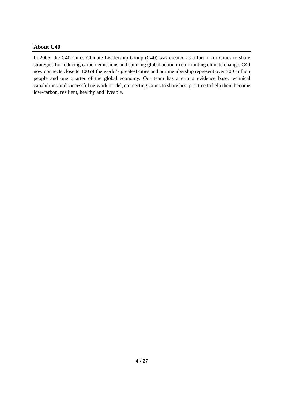#### <span id="page-3-0"></span>**About C40**

In 2005, the C40 Cities Climate Leadership Group (C40) was created as a forum for Cities to share strategies for reducing carbon emissions and spurring global action in confronting climate change. C40 now connects close to 100 of the world's greatest cities and our membership represent over 700 million people and one quarter of the global economy. Our team has a strong evidence base, technical capabilities and successful network model, connecting Cities to share best practice to help them become low-carbon, resilient, healthy and liveable.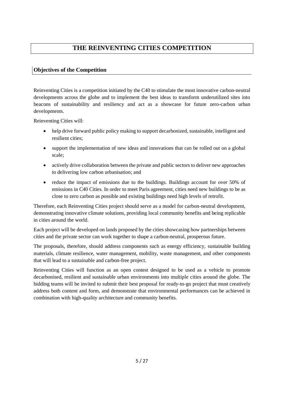## **THE REINVENTING CITIES COMPETITION**

#### <span id="page-4-1"></span><span id="page-4-0"></span>**Objectives of the Competition**

Reinventing Cities is a competition initiated by the C40 to stimulate the most innovative carbon-neutral developments across the globe and to implement the best ideas to transform underutilized sites into beacons of sustainability and resiliency and act as a showcase for future zero-carbon urban developments.

Reinventing Cities will:

- help drive forward public policy making to support decarbonized, sustainable, intelligent and resilient cities;
- support the implementation of new ideas and innovations that can be rolled out on a global scale;
- actively drive collaboration between the private and public sectors to deliver new approaches to delivering low carbon urbanisation; and
- reduce the impact of emissions due to the buildings. Buildings account for over 50% of emissions in C40 Cities. In order to meet Paris agreement, cities need new buildings to be as close to zero carbon as possible and existing buildings need high levels of retrofit.

Therefore, each Reinventing Cities project should serve as a model for carbon-neutral development, demonstrating innovative climate solutions, providing local community benefits and being replicable in cities around the world.

Each project will be developed on lands proposed by the cities showcasing how partnerships between cities and the private sector can work together to shape a carbon-neutral, prosperous future.

The proposals, therefore, should address components such as energy efficiency, sustainable building materials, climate resilience, water management, mobility, waste management, and other components that will lead to a sustainable and carbon-free project.

Reinventing Cities will function as an open contest designed to be used as a vehicle to promote decarbonised, resilient and sustainable urban environments into multiple cities around the globe. The bidding teams will be invited to submit their best proposal for ready-to-go project that must creatively address both content and form, and demonstrate that environmental performances can be achieved in combination with high-quality architecture and community benefits.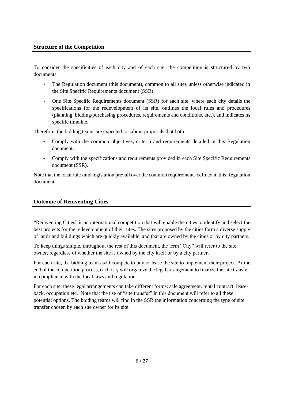<span id="page-5-0"></span>To consider the specificities of each city and of each site, the competition is structured by two documents:

- The Regulation document (this document), common to all sites unless otherwise indicated in the Site Specific Requirements document (SSR).
- One Site Specific Requirements document (SSR) for each site, where each city details the specifications for the redevelopment of its site, outlines the local rules and procedures (planning, bidding/purchasing procedures, requirements and conditions, etc.), and indicates its specific timeline.

Therefore, the bidding teams are expected to submit proposals that both:

- Comply with the common objectives, criteria and requirements detailed in this Regulation document.
- Comply with the specifications and requirements provided in each Site Specific Requirements document (SSR).

Note that the local rules and legislation prevail over the common requirements defined in this Regulation document.

#### <span id="page-5-1"></span>**Outcome of Reinventing Cities**

"Reinventing Cities" is an international competition that will enable the cities to identify and select the best projects for the redevelopment of their sites. The sites proposed by the cities form a diverse supply of lands and buildings which are quickly available, and that are owned by the cities or by city partners.

To keep things simple, throughout the rest of this document, the term "City" will refer to the site owner, regardless of whether the site is owned by the city itself or by a city partner.

For each site, the bidding teams will compete to buy or lease the site to implement their project. At the end of the competition process, each city will organize the legal arrangement to finalize the site transfer, in compliance with the local laws and regulation.

For each site, these legal arrangements can take different forms: sale agreement, rental contract, leaseback, occupation etc. Note that the use of "site transfer" in this document will refer to all these potential options. The bidding teams will find in the SSR the information concerning the type of site transfer chosen by each site owner for its site.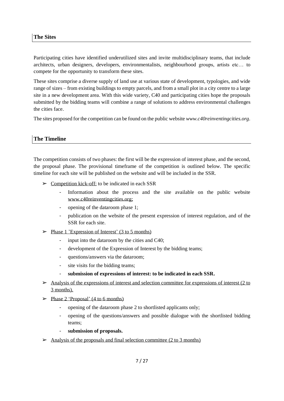<span id="page-6-0"></span>Participating cities have identified underutilized sites and invite multidisciplinary teams, that include architects, urban designers, developers, environmentalists, neighbourhood groups, artists etc… to compete for the opportunity to transform these sites.

These sites comprise a diverse supply of land use at various state of development, typologies, and wide range of sizes – from existing buildings to empty parcels, and from a small plot in a city centre to a large site in a new development area. With this wide variety, C40 and participating cities hope the proposals submitted by the bidding teams will combine a range of solutions to address environmental challenges the cities face.

The sites proposed for the competition can be found on the public website *[www.c40reinventingcities.org](http://www.c40reinventingcities.org/)*.

#### <span id="page-6-1"></span>**The Timeline**

The competition consists of two phases: the first will be the expression of interest phase, and the second, the proposal phase. The provisional timeframe of the competition is outlined below. The specific timeline for each site will be published on the website and will be included in the SSR.

- $\triangleright$  Competition kick-off: to be indicated in each SSR
	- Information about the process and the site available on the public website [www.c40reinventingcities.org;](http://www.c40reinventingcities.org/)
	- opening of the dataroom phase 1;
	- publication on the website of the present expression of interest regulation, and of the SSR for each site.
- $\triangleright$  Phase 1 'Expression of Interest' (3 to 5 months)
	- input into the dataroom by the cities and C40;
	- development of the Expression of Interest by the bidding teams;
	- questions/answers via the dataroom;
	- site visits for the bidding teams;
	- **submission of expressions of interest: to be indicated in each SSR.**
- $\triangleright$  Analysis of the expressions of interest and selection committee for expressions of interest (2 to 3 months).
- $\triangleright$  Phase 2 'Proposal' (4 to 6 months)
	- opening of the dataroom phase 2 to shortlisted applicants only;
	- opening of the questions/answers and possible dialogue with the shortlisted bidding teams;
	- submission of proposals.
- $\triangleright$  Analysis of the proposals and final selection committee (2 to 3 months)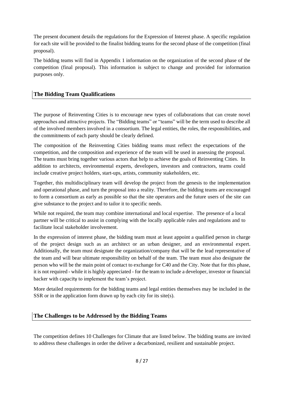The present document details the regulations for the Expression of Interest phase. A specific regulation for each site will be provided to the finalist bidding teams for the second phase of the competition (final proposal).

The bidding teams will find in Appendix 1 information on the organization of the second phase of the competition (final proposal). This information is subject to change and provided for information purposes only.

#### <span id="page-7-0"></span>**The Bidding Team Qualifications**

The purpose of Reinventing Cities is to encourage new types of collaborations that can create novel approaches and attractive projects. The "Bidding teams" or "teams" will be the term used to describe all of the involved members involved in a consortium. The legal entities, the roles, the responsibilities, and the commitments of each party should be clearly defined.

The composition of the Reinventing Cities bidding teams must reflect the expectations of the competition, and the composition and experience of the team will be used in assessing the proposal. The teams must bring together various actors that help to achieve the goals of Reinventing Cities. In addition to architects, environmental experts, developers, investors and contractors, teams could include creative project holders, start-ups, artists, community stakeholders, etc.

Together, this multidisciplinary team will develop the project from the genesis to the implementation and operational phase, and turn the proposal into a reality. Therefore, the bidding teams are encouraged to form a consortium as early as possible so that the site operators and the future users of the site can give substance to the project and to tailor it to specific needs.

While not required, the team may combine international and local expertise. The presence of a local partner will be critical to assist in complying with the locally applicable rules and regulations and to facilitate local stakeholder involvement.

In the expression of interest phase, the bidding team must at least appoint a qualified person in charge of the project design such as an architect or an urban designer, and an environmental expert. Additionally, the team must designate the organization/company that will be the lead representative of the team and will bear ultimate responsibility on behalf of the team. The team must also designate the person who will be the main point of contact to exchange for C40 and the City. Note that for this phase, it is not required - while it is highly appreciated - for the team to include a developer, investor or financial backer with capacity to implement the team's project.

More detailed requirements for the bidding teams and legal entities themselves may be included in the SSR or in the application form drawn up by each city for its site(s).

#### <span id="page-7-1"></span>**The Challenges to be Addressed by the Bidding Teams**

The competition defines 10 Challenges for Climate that are listed below. The bidding teams are invited to address these challenges in order the deliver a decarbonized, resilient and sustainable project.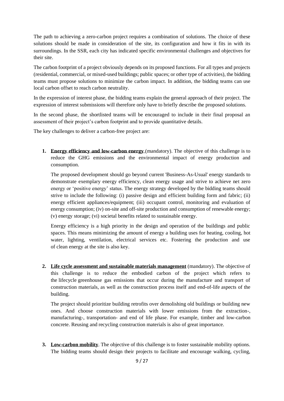The path to achieving a zero-carbon project requires a combination of solutions. The choice of these solutions should be made in consideration of the site, its configuration and how it fits in with its surroundings. In the SSR, each city has indicated specific environmental challenges and objectives for their site.

The carbon footprint of a project obviously depends on its proposed functions. For all types and projects (residential, commercial, or mixed-used buildings; public spaces; or other type of activities), the bidding teams must propose solutions to minimize the carbon impact. In addition, the bidding teams can use local carbon offset to reach carbon neutrality.

In the expression of interest phase, the bidding teams explain the general approach of their project. The expression of interest submissions will therefore only have to briefly describe the proposed solutions.

In the second phase, the shortlisted teams will be encouraged to include in their final proposal an assessment of their project's carbon footprint and to provide quantitative details.

The key challenges to deliver a carbon-free project are:

**1. Energy efficiency and low-carbon energy** (mandatory). The objective of this challenge is to reduce the GHG emissions and the environmental impact of energy production and consumption.

The proposed development should go beyond current 'Business-As-Usual' energy standards to demonstrate exemplary energy efficiency, clean energy usage and strive to achieve net zero energy or 'positive energy' status. The energy strategy developed by the bidding teams should strive to include the following: (i) passive design and efficient building form and fabric; (ii) energy efficient appliances/equipment; (iii) occupant control, monitoring and evaluation of energy consumption; (iv) on-site and off-site production and consumption of renewable energy; (v) energy storage; (vi) societal benefits related to sustainable energy.

Energy efficiency is a high priority in the design and operation of the buildings and public spaces. This means minimizing the amount of energy a building uses for heating, cooling, hot water, lighting, ventilation, electrical services etc. Fostering the production and use of clean energy at the site is also key.

**2. Life cycle assessment and sustainable materials management** (mandatory). The objective of this challenge is to reduce the embodied carbon of the project which refers to the lifecycle greenhouse gas emissions that occur during the manufacture and transport of construction materials, as well as the construction process itself and end-of-life aspects of the building.

The project should prioritize building retrofits over demolishing old buildings or building new ones. And choose construction materials with lower emissions from the extraction-, manufacturing-, transportation- and end of life phase. For example, timber and low-carbon concrete. Reusing and recycling construction materials is also of great importance.

**3. Low-carbon mobility**. The objective of this challenge is to foster sustainable mobility options. The bidding teams should design their projects to facilitate and encourage walking, cycling,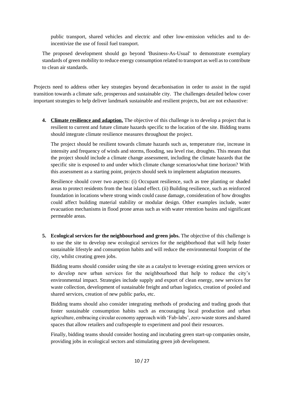public transport, shared vehicles and electric and other low-emission vehicles and to deincentivize the use of fossil fuel transport.

The proposed development should go beyond 'Business-As-Usual' to demonstrate exemplary standards of green mobility to reduce energy consumption related to transport as well as to contribute to clean air standards.

Projects need to address other key strategies beyond decarbonisation in order to assist in the rapid transition towards a climate safe, prosperous and sustainable city. The challenges detailed below cover important strategies to help deliver landmark sustainable and resilient projects, but are not exhaustive:

**4. Climate resilience and adaption.** The objective of this challenge is to develop a project that is resilient to current and future climate hazards specific to the location of the site. Bidding teams should integrate climate resilience measures throughout the project.

The project should be resilient towards climate hazards such as, temperature rise, increase in intensity and frequency of winds and storms, flooding, sea level rise, droughts. This means that the project should include a climate change assessment, including the climate hazards that the specific site is exposed to and under which climate change scenarios/what time horizon? With this assessment as a starting point, projects should seek to implement adaptation measures.

Resilience should cover two aspects: (i) Occupant resilience, such as tree planting or shaded areas to protect residents from the heat island effect. (ii) Building resilience, such as reinforced foundation in locations where strong winds could cause damage, consideration of how droughts could affect building material stability or modular design. Other examples include, water evacuation mechanisms in flood prone areas such as with water retention basins and significant permeable areas.

**5. Ecological services for the neighbourhood and green jobs.** The objective of this challenge is to use the site to develop new ecological services for the neighborhood that will help foster sustainable lifestyle and consumption habits and will reduce the environmental footprint of the city, whilst creating green jobs.

Bidding teams should consider using the site as a catalyst to leverage existing green services or to develop new urban services for the neighbourhood that help to reduce the city's environmental impact. Strategies include supply and export of clean energy, new services for waste collection, development of sustainable freight and urban logistics, creation of pooled and shared services, creation of new public parks, etc.

Bidding teams should also consider integrating methods of producing and trading goods that foster sustainable consumption habits such as encouraging local production and urban agriculture, embracing circular economy approach with 'Fab-labs', zero-waste stores and shared spaces that allow retailers and craftspeople to experiment and pool their resources.

Finally, bidding teams should consider hosting and incubating green start-up companies onsite, providing jobs in ecological sectors and stimulating green job development.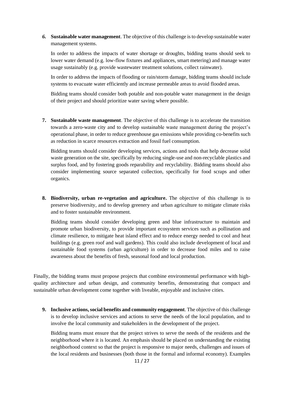*6.* **Sustainable water management**. The objective of this challenge is to develop sustainable water management systems.

In order to address the impacts of water shortage or droughts, bidding teams should seek to lower water demand (e.g. low-flow fixtures and appliances, smart metering) and manage water usage sustainably (e.g. provide wastewater treatment solutions, collect rainwater).

In order to address the impacts of flooding or rain/storm damage, bidding teams should include systems to evacuate water efficiently and increase permeable areas to avoid flooded areas.

Bidding teams should consider both potable and non-potable water management in the design of their project and should prioritize water saving where possible.

**7. Sustainable waste management**. The objective of this challenge is to accelerate the transition towards a zero-waste city and to develop sustainable waste management during the project's operational phase, in order to reduce greenhouse gas emissions while providing co-benefits such as reduction in scarce resources extraction and fossil fuel consumption.

Bidding teams should consider developing services, actions and tools that help decrease solid waste generation on the site, specifically by reducing single-use and non-recyclable plastics and surplus food, and by fostering goods reparability and recyclability. Bidding teams should also consider implementing source separated collection, specifically for food scraps and other organics.

**8. Biodiversity, urban re-vegetation and agriculture.** The objective of this challenge is to preserve biodiversity, and to develop greenery and urban agriculture to mitigate climate risks and to foster sustainable environment.

Bidding teams should consider developing green and blue infrastructure to maintain and promote urban biodiversity, to provide important ecosystem services such as pollination and climate resilience, to mitigate heat island effect and to reduce energy needed to cool and heat buildings (e.g. green roof and wall gardens). This could also include development of local and sustainable food systems (urban agriculture) in order to decrease food miles and to raise awareness about the benefits of fresh, seasonal food and local production.

Finally, the bidding teams must propose projects that combine environmental performance with highquality architecture and urban design, and community benefits, demonstrating that compact and sustainable urban development come together with liveable, enjoyable and inclusive cities.

**9. Inclusive actions, social benefits and community engagement**. The objective of this challenge is to develop inclusive services and actions to serve the needs of the local population, and to involve the local community and stakeholders in the development of the project.

Bidding teams must ensure that the project strives to serve the needs of the residents and the neighborhood where it is located. An emphasis should be placed on understanding the existing neighborhood context so that the project is responsive to major needs, challenges and issues of the local residents and businesses (both those in the formal and informal economy). Examples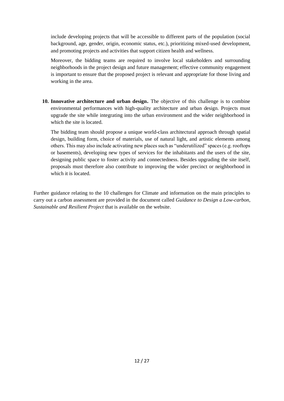include developing projects that will be accessible to different parts of the population (social background, age, gender, origin, economic status, etc.), prioritizing mixed-used development, and promoting projects and activities that support citizen health and wellness.

Moreover, the bidding teams are required to involve local stakeholders and surrounding neighborhoods in the project design and future management; effective community engagement is important to ensure that the proposed project is relevant and appropriate for those living and working in the area.

**10. Innovative architecture and urban design.** The objective of this challenge is to combine environmental performances with high-quality architecture and urban design. Projects must upgrade the site while integrating into the urban environment and the wider neighborhood in which the site is located.

The bidding team should propose a unique world-class architectural approach through spatial design, building form, choice of materials, use of natural light, and artistic elements among others. This may also include activating new places such as "underutilized" spaces (e.g. rooftops or basements), developing new types of services for the inhabitants and the users of the site, designing public space to foster activity and connectedness. Besides upgrading the site itself, proposals must therefore also contribute to improving the wider precinct or neighborhood in which it is located.

Further guidance relating to the 10 challenges for Climate and information on the main principles to carry out a carbon assessment are provided in the document called *Guidance to Design a Low-carbon, Sustainable and Resilient Project* that is available on the website.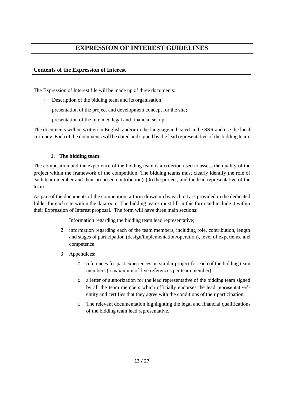## **EXPRESSION OF INTEREST GUIDELINES**

#### <span id="page-12-1"></span><span id="page-12-0"></span>**Contents of the Expression of Interest**

The Expression of Interest file will be made up of three documents:

- Description of the bidding team and its organisation;
- presentation of the project and development concept for the site;
- presentation of the intended legal and financial set up.

The documents will be written in English and/or in the language indicated in the SSR and use the local currency. Each of the documents will be dated and signed by the lead representative of the bidding team.

#### **1. The bidding team:**

The composition and the experience of the bidding team is a criterion used to assess the quality of the project within the framework of the competition. The bidding teams must clearly identify the role of each team member and their proposed contribution(s) to the project, and the lead representative of the team.

As part of the documents of the competition, a form drawn up by each city is provided in the dedicated folder for each site within the dataroom. The bidding teams must fill in this form and include it within their Expression of Interest proposal. The form will have three main sections:

- 1. Information regarding the bidding team lead representative;
- 2. information regarding each of the team members, including role, contribution, length and stages of participation (design/implementation/operation), level of experience and competence.
- 3. Appendices:
	- o references for past experiences on similar project for each of the bidding team members (a maximum of five references per team member);
	- o a letter of authorization for the lead representative of the bidding team signed by all the team members which officially endorses the lead representative's entity and certifies that they agree with the conditions of their participation;
	- o The relevant documentation highlighting the legal and financial qualifications of the bidding team lead representative.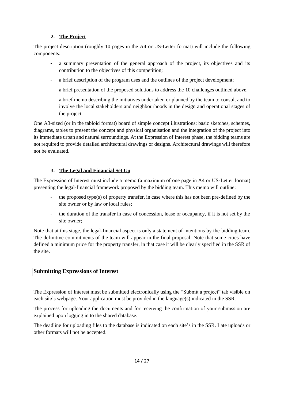#### **2. The Project**

The project description (roughly 10 pages in the A4 or US-Letter format) will include the following components:

- a summary presentation of the general approach of the project, its objectives and its contribution to the objectives of this competition;
- a brief description of the program uses and the outlines of the project development;
- a brief presentation of the proposed solutions to address the 10 challenges outlined above.
- a brief memo describing the initiatives undertaken or planned by the team to consult and to involve the local stakeholders and neighbourhoods in the design and operational stages of the project.

One A3-sized (or in the tabloid format) board of simple concept illustrations: basic sketches, schemes, diagrams, tables to present the concept and physical organisation and the integration of the project into its immediate urban and natural surroundings. At the Expression of Interest phase, the bidding teams are not required to provide detailed architectural drawings or designs. Architectural drawings will therefore not be evaluated.

#### **3. The Legal and Financial Set Up**

The Expression of Interest must include a memo (a maximum of one page in A4 or US-Letter format) presenting the legal-financial framework proposed by the bidding team. This memo will outline:

- the proposed type(s) of property transfer, in case where this has not been pre-defined by the site owner or by law or local rules;
- the duration of the transfer in case of concession, lease or occupancy, if it is not set by the site owner;

Note that at this stage, the legal-financial aspect is only a statement of intentions by the bidding team. The definitive commitments of the team will appear in the final proposal. Note that some cities have defined a minimum price for the property transfer, in that case it will be clearly specified in the SSR of the site.

#### <span id="page-13-0"></span>**Submitting Expressions of Interest**

The Expression of Interest must be submitted electronically using the "Submit a project" tab visible on each site's webpage. Your application must be provided in the language(s) indicated in the SSR.

The process for uploading the documents and for receiving the confirmation of your submission are explained upon logging in to the shared database.

The deadline for uploading files to the database is indicated on each site's in the SSR. Late uploads or other formats will not be accepted.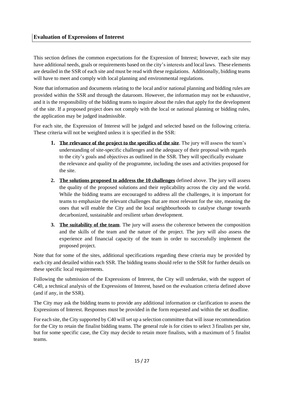<span id="page-14-0"></span>This section defines the common expectations for the Expression of Interest; however, each site may have additional needs, goals or requirements based on the city's interests and local laws. These elements are detailed in the SSR of each site and must be read with these regulations. Additionally, bidding teams will have to meet and comply with local planning and environmental regulations.

Note that information and documents relating to the local and/or national planning and bidding rules are provided within the SSR and through the dataroom. However, the information may not be exhaustive, and it is the responsibility of the bidding teams to inquire about the rules that apply for the development of the site. If a proposed project does not comply with the local or national planning or bidding rules, the application may be judged inadmissible.

For each site, the Expression of Interest will be judged and selected based on the following criteria. These criteria will not be weighted unless it is specified in the SSR:

- **1. The relevance of the project to the specifics of the site**. The jury will assess the team's understanding of site-specific challenges and the adequacy of their proposal with regards to the city's goals and objectives as outlined in the SSR. They will specifically evaluate the relevance and quality of the programme, including the uses and activities proposed for the site.
- **2. The solutions proposed to address the 10 challenges** defined above. The jury will assess the quality of the proposed solutions and their replicability across the city and the world. While the bidding teams are encouraged to address all the challenges, it is important for teams to emphasize the relevant challenges that are most relevant for the site, meaning the ones that will enable the City and the local neighbourhoods to catalyse change towards decarbonized, sustainable and resilient urban development.
- **3. The suitability of the team**. The jury will assess the coherence between the composition and the skills of the team and the nature of the project. The jury will also assess the experience and financial capacity of the team in order to successfully implement the proposed project.

Note that for some of the sites, additional specifications regarding these criteria may be provided by each city and detailed within each SSR. The bidding teams should refer to the SSR for further details on these specific local requirements.

Following the submission of the Expressions of Interest, the City will undertake, with the support of C40, a technical analysis of the Expressions of Interest, based on the evaluation criteria defined above (and if any, in the SSR).

The City may ask the bidding teams to provide any additional information or clarification to assess the Expressions of Interest. Responses must be provided in the form requested and within the set deadline.

For each site, the City supported by C40 will set up a selection committee that will issue recommendation for the City to retain the finalist bidding teams. The general rule is for cities to select 3 finalists per site, but for some specific case, the City may decide to retain more finalists, with a maximum of 5 finalist teams.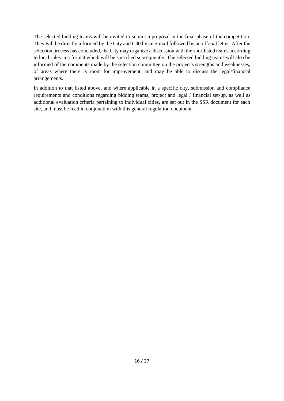The selected bidding teams will be invited to submit a proposal in the final phase of the competition. They will be directly informed by the City and C40 by an e-mail followed by an official letter. After the selection process has concluded, the City may organize a discussion with the shortlisted teams according to local rules in a format which will be specified subsequently. The selected bidding teams will also be informed of the comments made by the selection committee on the project's strengths and weaknesses, of areas where there is room for improvement, and may be able to discuss the legal/financial arrangements.

In addition to that listed above, and where applicable in a specific city, submission and compliance requirements and conditions regarding bidding teams, project and legal / financial set-up, as well as additional evaluation criteria pertaining to individual cities, are set out in the SSR document for each site, and must be read in conjunction with this general regulation document.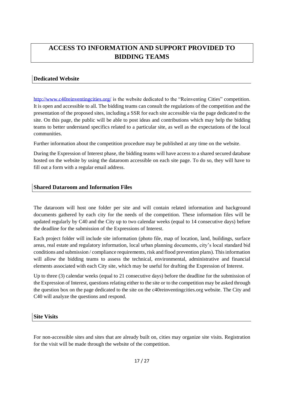## <span id="page-16-0"></span>**ACCESS TO INFORMATION AND SUPPORT PROVIDED TO BIDDING TEAMS**

#### <span id="page-16-1"></span>**Dedicated Website**

<http://www.c40reinventingcities.org/> is the website dedicated to the "Reinventing Cities" competition. It is open and accessible to all. The bidding teams can consult the regulations of the competition and the presentation of the proposed sites, including a SSR for each site accessible via the page dedicated to the site. On this page, the public will be able to post ideas and contributions which may help the bidding teams to better understand specifics related to a particular site, as well as the expectations of the local communities.

Further information about the competition procedure may be published at any time on the website.

During the Expression of Interest phase, the bidding teams will have access to a shared secured database hosted on the website by using the dataroom accessible on each site page. To do so, they will have to fill out a form with a regular email address.

#### <span id="page-16-2"></span>**Shared Dataroom and Information Files**

The dataroom will host one folder per site and will contain related information and background documents gathered by each city for the needs of the competition. These information files will be updated regularly by C40 and the City up to two calendar weeks (equal to 14 consecutive days) before the deadline for the submission of the Expressions of Interest.

Each project folder will include site information (photo file, map of location, land, buildings, surface areas, real estate and regulatory information, local urban planning documents, city's local standard bid conditions and submission / compliance requirements, risk and flood prevention plans). This information will allow the bidding teams to assess the technical, environmental, administrative and financial elements associated with each City site, which may be useful for drafting the Expression of Interest.

Up to three (3) calendar weeks (equal to 21 consecutive days) before the deadline for the submission of the Expression of Interest, questions relating either to the site or to the competition may be asked through the question box on the page dedicated to the site on the c40reinventingcities.org website. The City and C40 will analyze the questions and respond.

#### <span id="page-16-3"></span>**Site Visits**

For non-accessible sites and sites that are already built on, cities may organize site visits. Registration for the visit will be made through the website of the competition.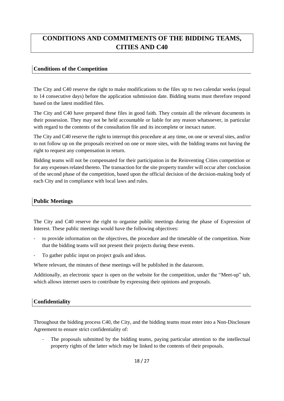## <span id="page-17-0"></span>**CONDITIONS AND COMMITMENTS OF THE BIDDING TEAMS, CITIES AND C40**

#### <span id="page-17-1"></span>**Conditions of the Competition**

The City and C40 reserve the right to make modifications to the files up to two calendar weeks (equal to 14 consecutive days) before the application submission date. Bidding teams must therefore respond based on the latest modified files.

The City and C40 have prepared these files in good faith. They contain all the relevant documents in their possession. They may not be held accountable or liable for any reason whatsoever, in particular with regard to the contents of the consultation file and its incomplete or inexact nature.

The City and C40 reserve the right to interrupt this procedure at any time, on one or several sites, and/or to not follow up on the proposals received on one or more sites, with the bidding teams not having the right to request any compensation in return.

Bidding teams will not be compensated for their participation in the Reinventing Cities competition or for any expenses related thereto. The transaction for the site property transfer will occur after conclusion of the second phase of the competition, based upon the official decision of the decision-making body of each City and in compliance with local laws and rules.

#### <span id="page-17-2"></span>**Public Meetings**

The City and C40 reserve the right to organise public meetings during the phase of Expression of Interest. These public meetings would have the following objectives:

- to provide information on the objectives, the procedure and the timetable of the competition. Note that the bidding teams will not present their projects during these events.
- To gather public input on project goals and ideas.

Where relevant, the minutes of these meetings will be published in the dataroom.

Additionally, an electronic space is open on the website for the competition, under the "Meet-up" tab, which allows internet users to contribute by expressing their opinions and proposals.

#### <span id="page-17-3"></span>**Confidentiality**

Throughout the bidding process C40, the City, and the bidding teams must enter into a Non-Disclosure Agreement to ensure strict confidentiality of:

The proposals submitted by the bidding teams, paying particular attention to the intellectual property rights of the latter which may be linked to the contents of their proposals.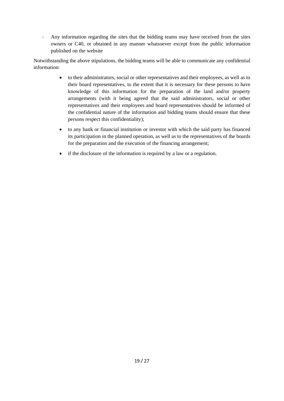- Any information regarding the sites that the bidding teams may have received from the sites owners or C40, or obtained in any manner whatsoever except from the public information published on the website

Notwithstanding the above stipulations, the bidding teams will be able to communicate any confidential information:

- to their administrators, social or other representatives and their employees, as well as to their board representatives, to the extent that it is necessary for these persons to have knowledge of this information for the preparation of the land and/or property arrangements (with it being agreed that the said administrators, social or other representatives and their employees and board representatives should be informed of the confidential nature of the information and bidding teams should ensure that these persons respect this confidentiality);
- to any bank or financial institution or investor with which the said party has financed its participation in the planned operation, as well as to the representatives of the boards for the preparation and the execution of the financing arrangement;
- if the disclosure of the information is required by a law or a regulation.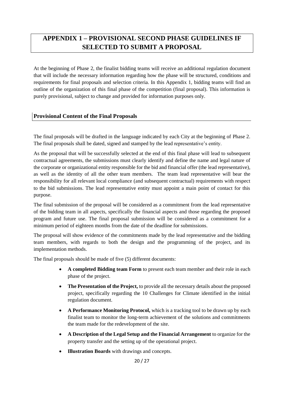## <span id="page-19-0"></span>**APPENDIX 1 – PROVISIONAL SECOND PHASE GUIDELINES IF SELECTED TO SUBMIT A PROPOSAL**

At the beginning of Phase 2, the finalist bidding teams will receive an additional regulation document that will include the necessary information regarding how the phase will be structured, conditions and requirements for final proposals and selection criteria. In this Appendix 1, bidding teams will find an outline of the organization of this final phase of the competition (final proposal). This information is purely provisional, subject to change and provided for information purposes only.

#### <span id="page-19-1"></span>**Provisional Content of the Final Proposals**

The final proposals will be drafted in the language indicated by each City at the beginning of Phase 2. The final proposals shall be dated, signed and stamped by the lead representative's entity.

As the proposal that will be successfully selected at the end of this final phase will lead to subsequent contractual agreements, the submissions must clearly identify and define the name and legal nature of the corporate or organizational entity responsible for the bid and financial offer (the lead representative), as well as the identity of all the other team members. The team lead representative will bear the responsibility for all relevant local compliance (and subsequent contractual) requirements with respect to the bid submissions. The lead representative entity must appoint a main point of contact for this purpose.

The final submission of the proposal will be considered as a commitment from the lead representative of the bidding team in all aspects, specifically the financial aspects and those regarding the proposed program and future use. The final proposal submission will be considered as a commitment for a minimum period of eighteen months from the date of the deadline for submissions.

The proposal will show evidence of the commitments made by the lead representative and the bidding team members, with regards to both the design and the programming of the project, and its implementation methods.

The final proposals should be made of five (5) different documents:

- **A completed Bidding team Form** to present each team member and their role in each phase of the project.
- **The Presentation of the Project,** to provide all the necessary details about the proposed project, specifically regarding the 10 Challenges for Climate identified in the initial regulation document.
- **A Performance Monitoring Protocol,** which is a tracking tool to be drawn up by each finalist team to monitor the long-term achievement of the solutions and commitments the team made for the redevelopment of the site.
- **A Description of the Legal Setup and the Financial Arrangement** to organize for the property transfer and the setting up of the operational project.
- **Illustration Boards** with drawings and concepts.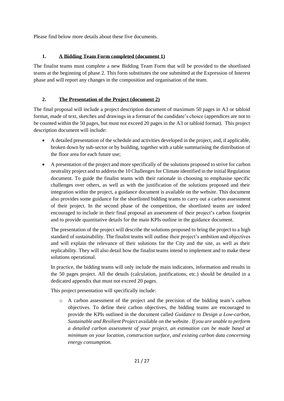Please find below more details about these five documents.

#### **1. A Bidding Team Form completed (document 1)**

The finalist teams must complete a new Bidding Team Form that will be provided to the shortlisted teams at the beginning of phase 2. This form substitutes the one submitted at the Expression of Interest phase and will report any changes in the composition and organisation of the team.

#### **2. The Presentation of the Project (document 2)**

The final proposal will include a project description document of maximum 50 pages in A3 or tabloid format, made of text, sketches and drawings in a format of the candidate's choice (appendices are not to be counted within the 50 pages, but must not exceed 20 pages in the A3 or tabloid format). This project description document will include:

- A detailed presentation of the schedule and activities developed in the project, and, if applicable, broken down by sub-sector or by building, together with a table summarising the distribution of the floor area for each future use;
- A presentation of the project and more specifically of the solutions proposed to strive for carbon neutrality project and to address the 10 Challenges for Climate identified in the initial Regulation document. To guide the finalist teams with their rationale in choosing to emphasise specific challenges over others, as well as with the justification of the solutions proposed and their integration within the project, a guidance document is available on the website. This document also provides some guidance for the shortlisted bidding teams to carry out a carbon assessment of their project. In the second phase of the competition, the shortlisted teams are indeed encouraged to include in their final proposal an assessment of their project's carbon footprint and to provide quantitative details for the main KPIs outline in the guidance document.

The presentation of the project will describe the solutions proposed to bring the project to a high standard of sustainability. The finalist teams will outline their project's ambition and objectives and will explain the relevance of their solutions for the City and the site, as well as their replicability. They will also detail how the finalist teams intend to implement and to make these solutions operational.

In practice, the bidding teams will only include the main indicators, information and results in the 50 pages project. All the details (calculation, justifications, etc.) should be detailed in a dedicated appendix that must not exceed 20 pages.

This project presentation will specifically include:

o A carbon assessment of the project and the precision of the bidding team's carbon objectives. To define their carbon objectives, the bidding teams are encouraged to provide the KPIs outlined in the document called *Guidance to Design a Low-carbon, Sustainable and Resilient Project* available on the website . *If you are unable to perform a detailed carbon assessment of your project, an estimation can be made based at minimum on your location, construction surface, and existing carbon data concerning energy consumption.*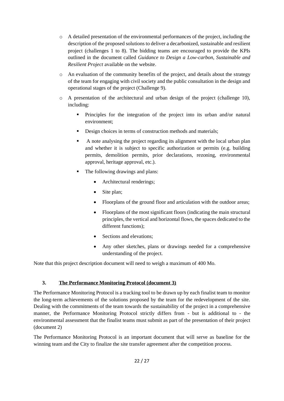- o A detailed presentation of the environmental performances of the project, including the description of the proposed solutions to deliver a decarbonized, sustainable and resilient project (challenges 1 to 8). The bidding teams are encouraged to provide the KPIs outlined in the document called *Guidance to Design a Low-carbon, Sustainable and Resilient Project* available on the website.
- o An evaluation of the community benefits of the project, and details about the strategy of the team for engaging with civil society and the public consultation in the design and operational stages of the project (Challenge 9).
- $\circ$  A presentation of the architectural and urban design of the project (challenge 10), including:
	- Principles for the integration of the project into its urban and/or natural environment;
	- **•** Design choices in terms of construction methods and materials;
	- A note analysing the project regarding its alignment with the local urban plan and whether it is subject to specific authorization or permits (e.g. building permits, demolition permits, prior declarations, rezoning, environmental approval, heritage approval, etc.).
	- The following drawings and plans:
		- Architectural renderings;
		- Site plan;
		- Floorplans of the ground floor and articulation with the outdoor areas;
		- Floorplans of the most significant floors (indicating the main structural principles, the vertical and horizontal flows, the spaces dedicated to the different functions);
		- Sections and elevations;
		- Any other sketches, plans or drawings needed for a comprehensive understanding of the project.

Note that this project description document will need to weigh a maximum of 400 Mo.

#### **3. The Performance Monitoring Protocol (document 3)**

The Performance Monitoring Protocol is a tracking tool to be drawn up by each finalist team to monitor the long-term achievements of the solutions proposed by the team for the redevelopment of the site. Dealing with the commitments of the team towards the sustainability of the project in a comprehensive manner, the Performance Monitoring Protocol strictly differs from - but is additional to - the environmental assessment that the finalist teams must submit as part of the presentation of their project (document 2)

The Performance Monitoring Protocol is an important document that will serve as baseline for the winning team and the City to finalize the site transfer agreement after the competition process.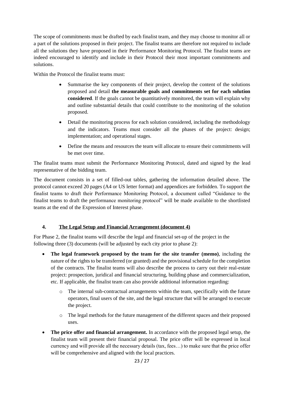The scope of commitments must be drafted by each finalist team, and they may choose to monitor all or a part of the solutions proposed in their project. The finalist teams are therefore not required to include all the solutions they have proposed in their Performance Monitoring Protocol. The finalist teams are indeed encouraged to identify and include in their Protocol their most important commitments and solutions.

Within the Protocol the finalist teams must:

- Summarise the key components of their project, develop the content of the solutions proposed and detail **the measurable goals and commitments set for each solution considered**. If the goals cannot be quantitatively monitored, the team will explain why and outline substantial details that could contribute to the monitoring of the solution proposed.
- Detail the monitoring process for each solution considered, including the methodology and the indicators. Teams must consider all the phases of the project: design; implementation; and operational stages.
- Define the means and resources the team will allocate to ensure their commitments will be met over time.

The finalist teams must submit the Performance Monitoring Protocol, dated and signed by the lead representative of the bidding team.

The document consists in a set of filled-out tables, gathering the information detailed above. The protocol cannot exceed 20 pages (A4 or US letter format) and appendices are forbidden. To support the finalist teams to draft their Performance Monitoring Protocol, a document called "Guidance to the finalist teams to draft the performance monitoring protocol" will be made available to the shortlisted teams at the end of the Expression of Interest phase.

#### **4. The Legal Setup and Financial Arrangement (document 4)**

For Phase 2, the finalist teams will describe the legal and financial set-up of the project in the following three (3) documents (will be adjusted by each city prior to phase 2):

- **The legal framework proposed by the team for the site transfer (memo)**, including the nature of the rights to be transferred (or granted) and the provisional schedule for the completion of the contracts. The finalist teams will also describe the process to carry out their real-estate project: prospection, juridical and financial structuring, building phase and commercialization, etc. If applicable, the finalist team can also provide additional information regarding:
	- o The internal sub-contractual arrangements within the team, specifically with the future operators, final users of the site, and the legal structure that will be arranged to execute the project.
	- o The legal methods for the future management of the different spaces and their proposed uses.
- **The price offer and financial arrangement.** In accordance with the proposed legal setup, the finalist team will present their financial proposal. The price offer will be expressed in local currency and will provide all the necessary details (tax, fees…) to make sure that the price offer will be comprehensive and aligned with the local practices.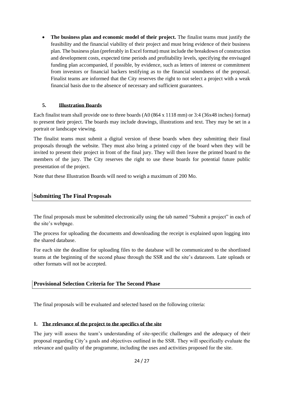• **The business plan and economic model of their project.** The finalist teams must justify the feasibility and the financial viability of their project and must bring evidence of their business plan. The business plan (preferably in Excel format) must include the breakdown of construction and development costs, expected time periods and profitability levels, specifying the envisaged funding plan accompanied, if possible, by evidence, such as letters of interest or commitment from investors or financial backers testifying as to the financial soundness of the proposal. Finalist teams are informed that the City reserves the right to not select a project with a weak financial basis due to the absence of necessary and sufficient guarantees.

#### **5. Illustration Boards**

Each finalist team shall provide one to three boards (A0 (864 x 1118 mm) or 3:4 (36x48 inches) format) to present their project. The boards may include drawings, illustrations and text. They may be set in a portrait or landscape viewing.

The finalist teams must submit a digital version of these boards when they submitting their final proposals through the website. They must also bring a printed copy of the board when they will be invited to present their project in front of the final jury. They will then leave the printed board to the members of the jury. The City reserves the right to use these boards for potential future public presentation of the project.

Note that these Illustration Boards will need to weigh a maximum of 200 Mo.

#### <span id="page-23-0"></span>**Submitting The Final Proposals**

The final proposals must be submitted electronically using the tab named "Submit a project" in each of the site's webpage.

The process for uploading the documents and downloading the receipt is explained upon logging into the shared database.

For each site the deadline for uploading files to the database will be communicated to the shortlisted teams at the beginning of the second phase through the SSR and the site's dataroom. Late uploads or other formats will not be accepted.

#### <span id="page-23-1"></span>**Provisional Selection Criteria for The Second Phase**

The final proposals will be evaluated and selected based on the following criteria:

#### **1. The relevance of the project to the specifics of the site**

The jury will assess the team's understanding of site-specific challenges and the adequacy of their proposal regarding City's goals and objectives outlined in the SSR. They will specifically evaluate the relevance and quality of the programme, including the uses and activities proposed for the site.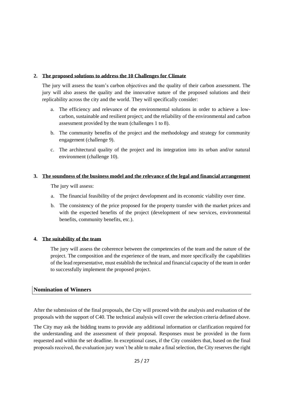#### **2. The proposed solutions to address the 10 Challenges for Climate**

The jury will assess the team's carbon objectives and the quality of their carbon assessment. The jury will also assess the quality and the innovative nature of the proposed solutions and their replicability across the city and the world. They will specifically consider:

- a. The efficiency and relevance of the environmental solutions in order to achieve a lowcarbon, sustainable and resilient project; and the reliability of the environmental and carbon assessment provided by the team (challenges 1 to 8).
- b. The community benefits of the project and the methodology and strategy for community engagement (challenge 9).
- c. The architectural quality of the project and its integration into its urban and/or natural environment (challenge 10).

#### **3. The soundness of the business model and the relevance of the legal and financial arrangement**

The jury will assess:

- a. The financial feasibility of the project development and its economic viability over time.
- b. The consistency of the price proposed for the property transfer with the market prices and with the expected benefits of the project (development of new services, environmental benefits, community benefits, etc.).

#### **4. The suitability of the team**

The jury will assess the coherence between the competencies of the team and the nature of the project. The composition and the experience of the team, and more specifically the capabilities of the lead representative, must establish the technical and financial capacity of the team in order to successfully implement the proposed project.

#### <span id="page-24-0"></span>**Nomination of Winners**

After the submission of the final proposals, the City will proceed with the analysis and evaluation of the proposals with the support of C40. The technical analysis will cover the selection criteria defined above.

The City may ask the bidding teams to provide any additional information or clarification required for the understanding and the assessment of their proposal. Responses must be provided in the form requested and within the set deadline. In exceptional cases, if the City considers that, based on the final proposals received, the evaluation jury won't be able to make a final selection, the City reserves the right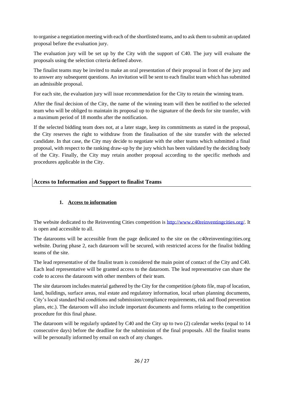to organise a negotiation meeting with each of the shortlisted teams, and to ask them to submit an updated proposal before the evaluation jury.

The evaluation jury will be set up by the City with the support of C40. The jury will evaluate the proposals using the selection criteria defined above.

The finalist teams may be invited to make an oral presentation of their proposal in front of the jury and to answer any subsequent questions. An invitation will be sent to each finalist team which has submitted an admissible proposal.

For each site, the evaluation jury will issue recommendation for the City to retain the winning team.

After the final decision of the City, the name of the winning team will then be notified to the selected team who will be obliged to maintain its proposal up to the signature of the deeds for site transfer, with a maximum period of 18 months after the notification.

If the selected bidding team does not, at a later stage, keep its commitments as stated in the proposal, the City reserves the right to withdraw from the finalisation of the site transfer with the selected candidate. In that case, the City may decide to negotiate with the other teams which submitted a final proposal, with respect to the ranking draw-up by the jury which has been validated by the deciding body of the City. Finally, the City may retain another proposal according to the specific methods and procedures applicable in the City.

#### <span id="page-25-0"></span>**Access to Information and Support to finalist Teams**

#### **1. Access to information**

The website dedicated to the Reinventing Cities competition is [http://www.c40reinventingcities.org/.](http://www.c40reinventingcities.org/) It is open and accessible to all.

The datarooms will be accessible from the page dedicated to the site on the c40reinventingcities.org website. During phase 2, each dataroom will be secured, with restricted access for the finalist bidding teams of the site.

The lead representative of the finalist team is considered the main point of contact of the City and C40. Each lead representative will be granted access to the dataroom. The lead representative can share the code to access the dataroom with other members of their team.

The site dataroom includes material gathered by the City for the competition (photo file, map of location, land, buildings, surface areas, real estate and regulatory information, local urban planning documents, City's local standard bid conditions and submission/compliance requirements, risk and flood prevention plans, etc.). The dataroom will also include important documents and forms relating to the competition procedure for this final phase.

The dataroom will be regularly updated by C40 and the City up to two (2) calendar weeks (equal to 14 consecutive days) before the deadline for the submission of the final proposals. All the finalist teams will be personally informed by email on each of any changes.